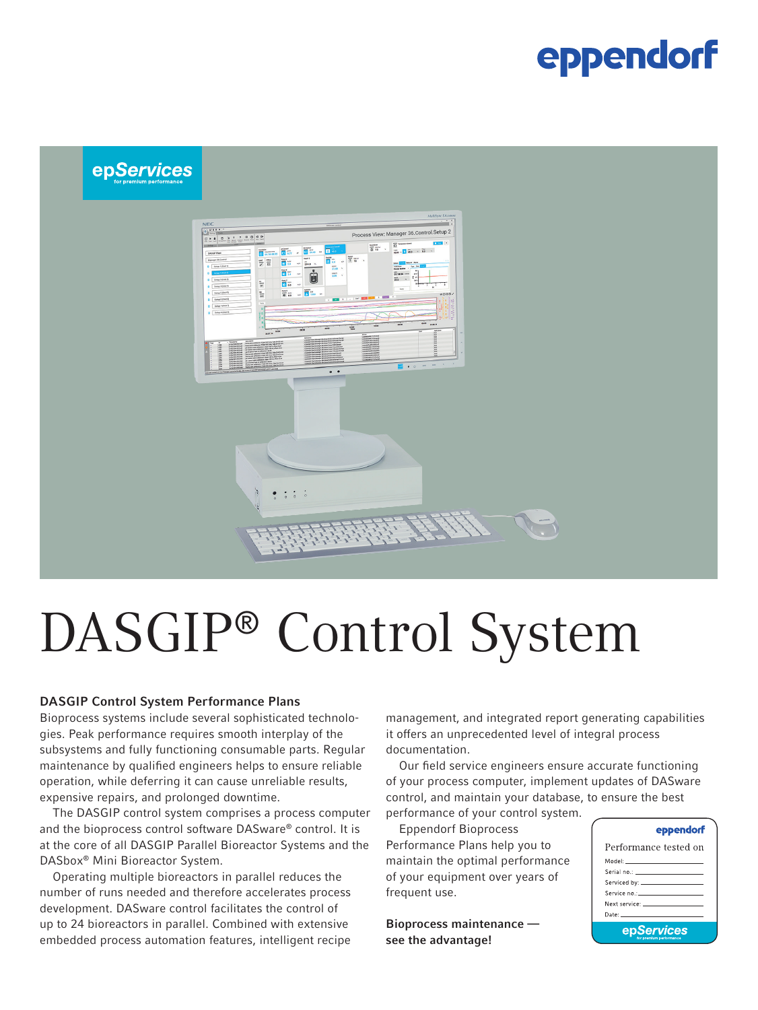## eppendorf



# DASGIP® Control System

#### DASGIP Control System Performance Plans

Bioprocess systems include several sophisticated technologies. Peak performance requires smooth interplay of the subsystems and fully functioning consumable parts. Regular maintenance by qualified engineers helps to ensure reliable operation, while deferring it can cause unreliable results, expensive repairs, and prolonged downtime.

The DASGIP control system comprises a process computer and the bioprocess control software DASware® control. It is at the core of all DASGIP Parallel Bioreactor Systems and the DASbox® Mini Bioreactor System.

Operating multiple bioreactors in parallel reduces the number of runs needed and therefore accelerates process development. DASware control facilitates the control of up to 24 bioreactors in parallel. Combined with extensive embedded process automation features, intelligent recipe

management, and integrated report generating capabilities it offers an unprecedented level of integral process documentation.

Our field service engineers ensure accurate functioning of your process computer, implement updates of DASware control, and maintain your database, to ensure the best performance of your control system.

Eppendorf Bioprocess Performance Plans help you to maintain the optimal performance of your equipment over years of frequent use.

Bioprocess maintenance see the advantage!

#### eppendorf

| Performance tested on                                                                                                                                                                                                         |  |  |  |  |
|-------------------------------------------------------------------------------------------------------------------------------------------------------------------------------------------------------------------------------|--|--|--|--|
| Model: ______________________                                                                                                                                                                                                 |  |  |  |  |
|                                                                                                                                                                                                                               |  |  |  |  |
|                                                                                                                                                                                                                               |  |  |  |  |
|                                                                                                                                                                                                                               |  |  |  |  |
| Next service: The contract of the contract of the contract of the contract of the contract of the contract of the contract of the contract of the contract of the contract of the contract of the contract of the contract of |  |  |  |  |
| Date: _______________________                                                                                                                                                                                                 |  |  |  |  |
| epServices                                                                                                                                                                                                                    |  |  |  |  |